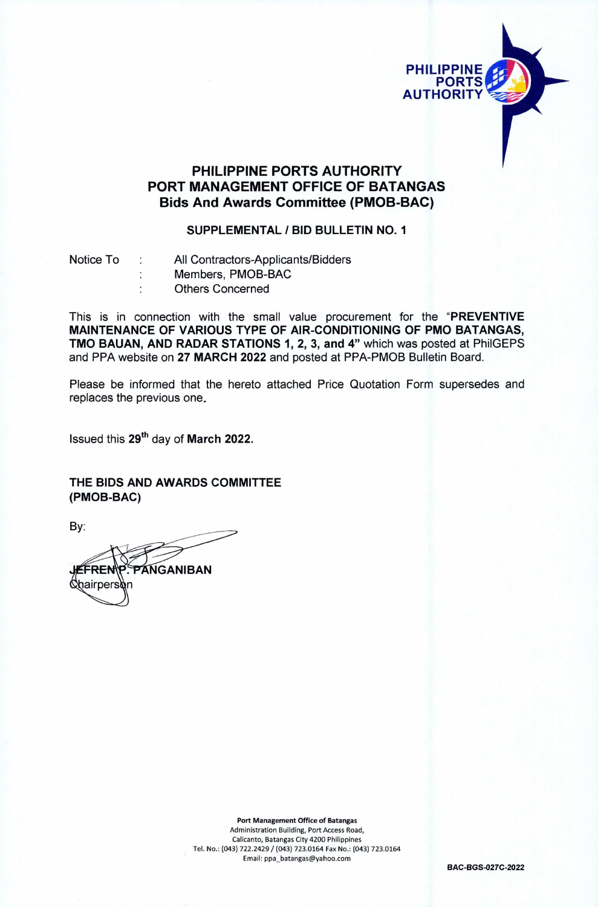

## **PHILIPPINE PORTS AUTHORITY PORT MANAGEMENT OFFICE OF BATANGAS Bids And Awards Committee (PMOB-BAC)**

## **SUPPLEMENTAL / BID BULLETIN NO. <sup>1</sup>**

Notice To : All Contractors-Applicants/Bidders ţ.  $\cdot$ 

Members, PMOB-BAC Others Concerned

This is in connection with the small value procurement for the **"PREVENTIVE MAINTENANCE OF VARIOUS TYPE OF AIR-CONDITIONING OF PMO BATANGAS, TMO BAUAN, AND RADAR STATIONS 1, 2, 3, and 4"** which was posted at PhilGEPS and PPA website on **27 MARCH 2022** and posted at PPA-PMOB Bulletin Board.

Please be informed that the hereto attached Price Quotation Form supersedes and replaces the previous one.

Issued this **29th** day of **March 2022.**

**THE BIDS AND AWARDS COMMITTEE (PMOB-BAC)**

By:

**GANIBAN** =RF Chairpers

**Port Management Office of Batangas** Administration Building, Port Access Road, Calicanto, Batangas City 4200 Philippines Tel. No.: (043) 722.2429 / (043) 723.0164 Fax No.: (043) 723.0164 Email: [ppa\\_batangas@yahoo.com](mailto:ppa_batangas@yahoo.com)